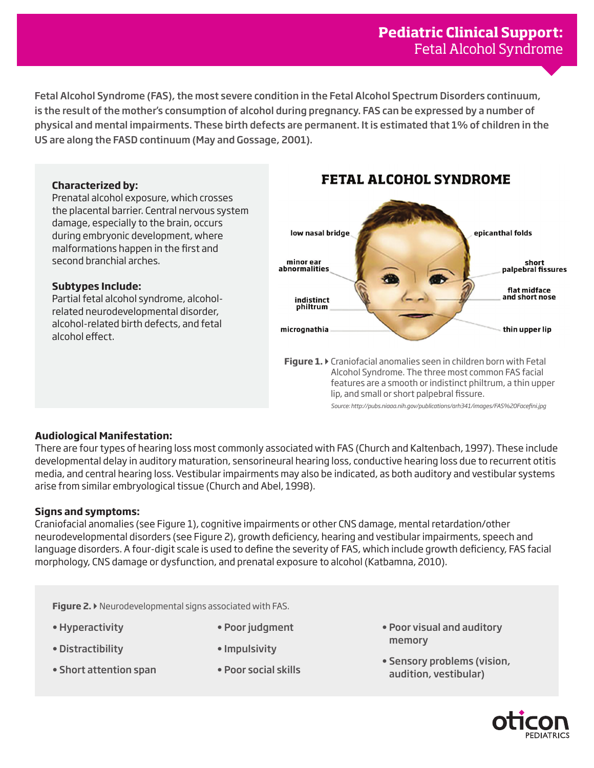Fetal Alcohol Syndrome (FAS), the most severe condition in the Fetal Alcohol Spectrum Disorders continuum, is the result of the mother's consumption of alcohol during pregnancy. FAS can be expressed by a number of physical and mental impairments. These birth defects are permanent. It is estimated that 1% of children in the US are along the FASD continuum (May and Gossage, 2001).

## **Characterized by:**

Prenatal alcohol exposure, which crosses the placental barrier. Central nervous system damage, especially to the brain, occurs during embryonic development, where malformations happen in the first and second branchial arches.

## **Subtypes Include:**

Partial fetal alcohol syndrome, alcoholrelated neurodevelopmental disorder, alcohol-related birth defects, and fetal alcohol effect.

# **FETAL ALCOHOL SYNDROME**



*Source: http://pubs.niaaa.nih.gov/publications/arh341/images/FAS%20Facefini.jpg*

# **Audiological Manifestation:**

There are four types of hearing loss most commonly associated with FAS (Church and Kaltenbach, 1997). These include developmental delay in auditory maturation, sensorineural hearing loss, conductive hearing loss due to recurrent otitis media, and central hearing loss. Vestibular impairments may also be indicated, as both auditory and vestibular systems arise from similar embryological tissue (Church and Abel, 1998).

# **Signs and symptoms:**

Craniofacial anomalies (see Figure 1), cognitive impairments or other CNS damage, mental retardation/other neurodevelopmental disorders (see Figure 2), growth deficiency, hearing and vestibular impairments, speech and language disorders. A four-digit scale is used to define the severity of FAS, which include growth deficiency, FAS facial morphology, CNS damage or dysfunction, and prenatal exposure to alcohol (Katbamna, 2010).

**Figure 2. ▶** Neurodevelopmental signs associated with FAS.

- Hyperactivity
- Distractibility
- Short attention span
- Impulsivity
- Poor social skills

• Poor judgment

- Poor visual and auditory memory
- Sensory problems (vision, audition, vestibular)